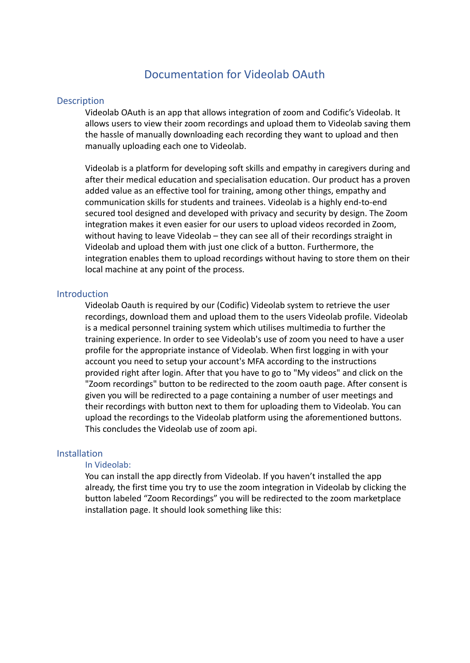# Documentation for Videolab OAuth

# **Description**

Videolab OAuth is an app that allows integration of zoom and Codific's Videolab. It allows users to view their zoom recordings and upload them to Videolab saving them the hassle of manually downloading each recording they want to upload and then manually uploading each one to Videolab.

Videolab is a platform for developing soft skills and empathy in caregivers during and after their medical education and specialisation education. Our product has a proven added value as an effective tool for training, among other things, empathy and communication skills for students and trainees. Videolab is a highly end-to-end secured tool designed and developed with privacy and security by design. The Zoom integration makes it even easier for our users to upload videos recorded in Zoom, without having to leave Videolab – they can see all of their recordings straight in Videolab and upload them with just one click of a button. Furthermore, the integration enables them to upload recordings without having to store them on their local machine at any point of the process.

#### **Introduction**

Videolab Oauth is required by our (Codific) Videolab system to retrieve the user recordings, download them and upload them to the users Videolab profile. Videolab is a medical personnel training system which utilises multimedia to further the training experience. In order to see Videolab's use of zoom you need to have a user profile for the appropriate instance of Videolab. When first logging in with your account you need to setup your account's MFA according to the instructions provided right after login. After that you have to go to "My videos" and click on the "Zoom recordings" button to be redirected to the zoom oauth page. After consent is given you will be redirected to a page containing a number of user meetings and their recordings with button next to them for uploading them to Videolab. You can upload the recordings to the Videolab platform using the aforementioned buttons. This concludes the Videolab use of zoom api.

# Installation

# In Videolab:

You can install the app directly from Videolab. If you haven't installed the app already, the first time you try to use the zoom integration in Videolab by clicking the button labeled "Zoom Recordings" you will be redirected to the zoom marketplace installation page. It should look something like this: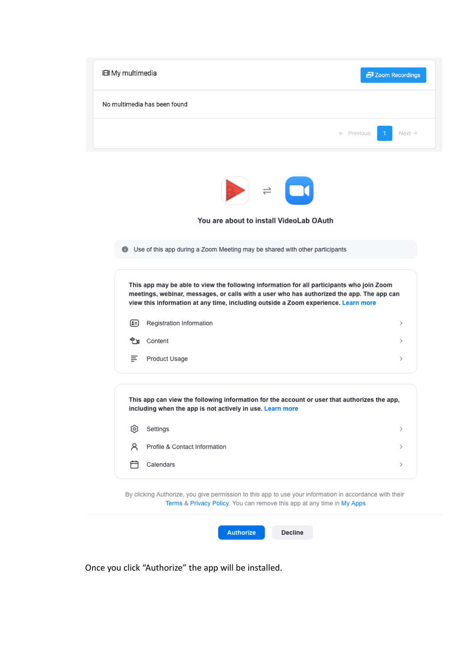| <b>田 My multimedia</b>                                                                                                                                                                                                                                                       | <b>西</b> Zoom Recordings                    |
|------------------------------------------------------------------------------------------------------------------------------------------------------------------------------------------------------------------------------------------------------------------------------|---------------------------------------------|
| No multimedia has been found                                                                                                                                                                                                                                                 |                                             |
|                                                                                                                                                                                                                                                                              | $\leftarrow$ Previous<br>Next $\rightarrow$ |
| $\blacktriangleright$ = $\Box$<br>You are about to install VideoLab OAuth                                                                                                                                                                                                    |                                             |
| Use of this app during a Zoom Meeting may be shared with other participants<br>o                                                                                                                                                                                             |                                             |
| This app may be able to view the following information for all participants who join Zoom<br>meetings, webinar, messages, or calls with a user who has authorized the app. The app can<br>view this information at any time, including outside a Zoom experience. Learn more |                                             |
| Registration Information<br>(±=)                                                                                                                                                                                                                                             | >                                           |
| ·‼* μ<br>Content                                                                                                                                                                                                                                                             | ⋋                                           |
| ≡<br>Product Usage                                                                                                                                                                                                                                                           | ⋋                                           |
| This app can view the following information for the account or user that authorizes the app,<br>including when the app is not actively in use. Learn more                                                                                                                    |                                             |
| Settings<br>છે                                                                                                                                                                                                                                                               | $\,>\,$                                     |
| Profile & Contact Information<br>R                                                                                                                                                                                                                                           | ⋋                                           |
| 户<br>Calendars                                                                                                                                                                                                                                                               | $\,>\,$                                     |
| By clicking Authorize, you give permission to this app to use your information in accordance with their<br>Terms & Privacy Policy. You can remove this app at any time in My Apps                                                                                            |                                             |
| <b>Decline</b><br><b>Authorize</b>                                                                                                                                                                                                                                           |                                             |

Once you click "Authorize" the app will be installed.